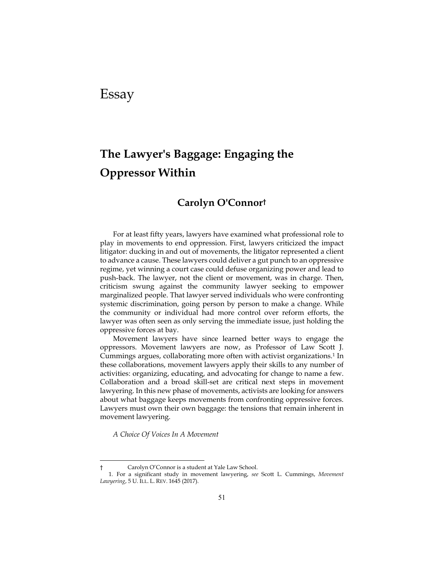## Essay

# **The Lawyer's Baggage: Engaging the Oppressor Within**

### **Carolyn O'Connor†**

For at least fifty years, lawyers have examined what professional role to play in movements to end oppression. First, lawyers criticized the impact litigator: ducking in and out of movements, the litigator represented a client to advance a cause. These lawyers could deliver a gut punch to an oppressive regime, yet winning a court case could defuse organizing power and lead to push-back. The lawyer, not the client or movement, was in charge. Then, criticism swung against the community lawyer seeking to empower marginalized people. That lawyer served individuals who were confronting systemic discrimination, going person by person to make a change. While the community or individual had more control over reform efforts, the lawyer was often seen as only serving the immediate issue, just holding the oppressive forces at bay.

Movement lawyers have since learned better ways to engage the oppressors. Movement lawyers are now, as Professor of Law Scott J. Cummings argues, collaborating more often with activist organizations.1 In these collaborations, movement lawyers apply their skills to any number of activities: organizing, educating, and advocating for change to name a few. Collaboration and a broad skill-set are critical next steps in movement lawyering. In this new phase of movements, activists are looking for answers about what baggage keeps movements from confronting oppressive forces. Lawyers must own their own baggage: the tensions that remain inherent in movement lawyering.

*A Choice Of Voices In A Movement* 

 $\overline{a}$ 

Carolyn O'Connor is a student at Yale Law School.

<sup>1.</sup> For a significant study in movement lawyering, *see* Scott L. Cummings, *Movement Lawyering*, 5 U. ILL. L. REV. 1645 (2017).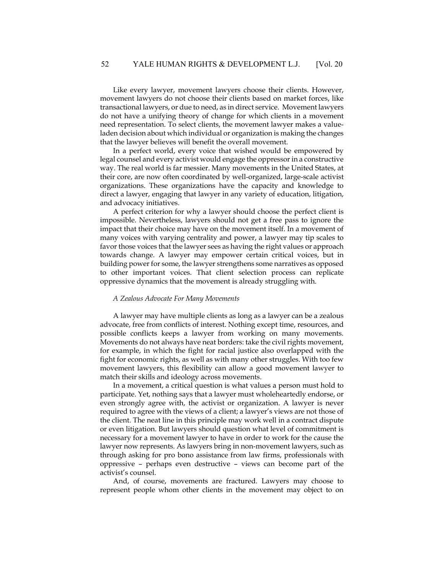Like every lawyer, movement lawyers choose their clients. However, movement lawyers do not choose their clients based on market forces, like transactional lawyers, or due to need, as in direct service. Movement lawyers do not have a unifying theory of change for which clients in a movement need representation. To select clients, the movement lawyer makes a valueladen decision about which individual or organization is making the changes that the lawyer believes will benefit the overall movement.

In a perfect world, every voice that wished would be empowered by legal counsel and every activist would engage the oppressor in a constructive way. The real world is far messier. Many movements in the United States, at their core, are now often coordinated by well-organized, large-scale activist organizations. These organizations have the capacity and knowledge to direct a lawyer, engaging that lawyer in any variety of education, litigation, and advocacy initiatives.

A perfect criterion for why a lawyer should choose the perfect client is impossible. Nevertheless, lawyers should not get a free pass to ignore the impact that their choice may have on the movement itself. In a movement of many voices with varying centrality and power, a lawyer may tip scales to favor those voices that the lawyer sees as having the right values or approach towards change. A lawyer may empower certain critical voices, but in building power for some, the lawyer strengthens some narratives as opposed to other important voices. That client selection process can replicate oppressive dynamics that the movement is already struggling with.

#### *A Zealous Advocate For Many Movements*

A lawyer may have multiple clients as long as a lawyer can be a zealous advocate, free from conflicts of interest. Nothing except time, resources, and possible conflicts keeps a lawyer from working on many movements. Movements do not always have neat borders: take the civil rights movement, for example, in which the fight for racial justice also overlapped with the fight for economic rights, as well as with many other struggles. With too few movement lawyers, this flexibility can allow a good movement lawyer to match their skills and ideology across movements.

In a movement, a critical question is what values a person must hold to participate. Yet, nothing says that a lawyer must wholeheartedly endorse, or even strongly agree with, the activist or organization. A lawyer is never required to agree with the views of a client; a lawyer's views are not those of the client. The neat line in this principle may work well in a contract dispute or even litigation. But lawyers should question what level of commitment is necessary for a movement lawyer to have in order to work for the cause the lawyer now represents. As lawyers bring in non-movement lawyers, such as through asking for pro bono assistance from law firms, professionals with oppressive – perhaps even destructive – views can become part of the activist's counsel.

And, of course, movements are fractured. Lawyers may choose to represent people whom other clients in the movement may object to on